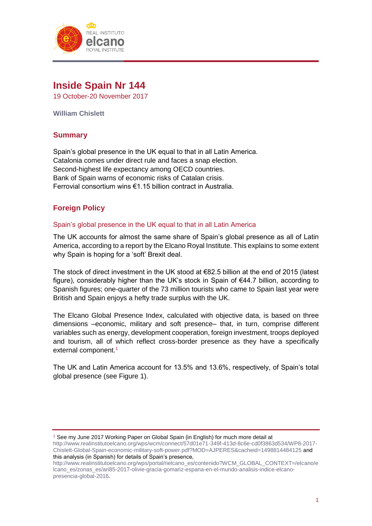

# **Inside Spain Nr 144**

19 October-20 November 2017

**William Chislett**

# **Summary**

Spain's global presence in the UK equal to that in all Latin America. Catalonia comes under direct rule and faces a snap election. Second-highest life expectancy among OECD countries. Bank of Spain warns of economic risks of Catalan crisis. Ferrovial consortium wins €1.15 billion contract in Australia.

# **Foreign Policy**

# Spain's global presence in the UK equal to that in all Latin America

The UK accounts for almost the same share of Spain's global presence as all of Latin America, according to a report by the Elcano Royal Institute. This explains to some extent why Spain is hoping for a 'soft' Brexit deal.

The stock of direct investment in the UK stood at €82.5 billion at the end of 2015 (latest figure), considerably higher than the UK's stock in Spain of €44.7 billion, according to Spanish figures; one-quarter of the 73 million tourists who came to Spain last year were British and Spain enjoys a hefty trade surplus with the UK.

The Elcano Global Presence Index, calculated with objective data, is based on three dimensions –economic, military and soft presence– that, in turn, comprise different variables such as energy, development cooperation, foreign investment, troops deployed and tourism, all of which reflect cross-border presence as they have a specifically external component.<sup>1</sup>

The UK and Latin America account for 13.5% and 13.6%, respectively, of Spain's total global presence (see Figure 1).

<sup>1</sup> See my June 2017 Working Paper on Global Spain (in English) for much more detail at [http://www.realinstitutoelcano.org/wps/wcm/connect/57d01e71-349f-413d-8c6e-cd0f3863d534/WP8-2017-](http://www.realinstitutoelcano.org/wps/wcm/connect/57d01e71-349f-413d-8c6e-cd0f3863d534/WP8-2017-Chislett-Global-Spain-economic-military-soft-power.pdf?MOD=AJPERES&cacheid=1498814484125) [Chislett-Global-Spain-economic-military-soft-power.pdf?MOD=AJPERES&cacheid=1498814484125](http://www.realinstitutoelcano.org/wps/wcm/connect/57d01e71-349f-413d-8c6e-cd0f3863d534/WP8-2017-Chislett-Global-Spain-economic-military-soft-power.pdf?MOD=AJPERES&cacheid=1498814484125) and this analysis (in Spanish) for details of Spain's presence,

[http://www.realinstitutoelcano.org/wps/portal/rielcano\\_es/contenido?WCM\\_GLOBAL\\_CONTEXT=/elcano/e](http://www.realinstitutoelcano.org/wps/portal/rielcano_es/contenido?WCM_GLOBAL_CONTEXT=/elcano/elcano_es/zonas_es/ari85-2017-olivie-gracia-gomariz-espana-en-el-mundo-analisis-indice-elcano-presencia-global-2016) [lcano\\_es/zonas\\_es/ari85-2017-olivie-gracia-gomariz-espana-en-el-mundo-analisis-indice-elcano](http://www.realinstitutoelcano.org/wps/portal/rielcano_es/contenido?WCM_GLOBAL_CONTEXT=/elcano/elcano_es/zonas_es/ari85-2017-olivie-gracia-gomariz-espana-en-el-mundo-analisis-indice-elcano-presencia-global-2016)[presencia-global-2016.](http://www.realinstitutoelcano.org/wps/portal/rielcano_es/contenido?WCM_GLOBAL_CONTEXT=/elcano/elcano_es/zonas_es/ari85-2017-olivie-gracia-gomariz-espana-en-el-mundo-analisis-indice-elcano-presencia-global-2016)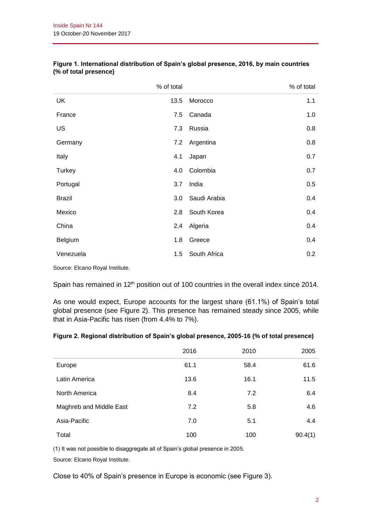|               | % of total |              | % of total |
|---------------|------------|--------------|------------|
| <b>UK</b>     | 13.5       | Morocco      | 1.1        |
| France        | 7.5        | Canada       | 1.0        |
| US            | 7.3        | Russia       | 0.8        |
| Germany       | 7.2        | Argentina    | 0.8        |
| Italy         | 4.1        | Japan        | 0.7        |
| Turkey        | 4.0        | Colombia     | 0.7        |
| Portugal      | 3.7        | India        | 0.5        |
| <b>Brazil</b> | 3.0        | Saudi Arabia | 0.4        |
| Mexico        | 2.8        | South Korea  | 0.4        |
| China         | 2.4        | Algeria      | 0.4        |
| Belgium       | 1.8        | Greece       | 0.4        |
| Venezuela     | 1.5        | South Africa | 0.2        |

### **Figure 1. International distribution of Spain's global presence, 2016, by main countries (% of total presence)**

Source: Elcano Royal Institute.

Spain has remained in 12<sup>th</sup> position out of 100 countries in the overall index since 2014.

As one would expect, Europe accounts for the largest share (61.1%) of Spain's total global presence (see Figure 2). This presence has remained steady since 2005, while that in Asia-Pacific has risen (from 4.4% to 7%).

|  | Figure 2. Regional distribution of Spain's global presence, 2005-16 (% of total presence) |  |  |  |
|--|-------------------------------------------------------------------------------------------|--|--|--|
|  |                                                                                           |  |  |  |

|                         | 2016 | 2010 | 2005    |
|-------------------------|------|------|---------|
| Europe                  | 61.1 | 58.4 | 61.6    |
| Latin America           | 13.6 | 16.1 | 11.5    |
| North America           | 8.4  | 7.2  | 6.4     |
| Maghreb and Middle East | 7.2  | 5.8  | 4.6     |
| Asia-Pacific            | 7.0  | 5.1  | 4.4     |
| Total                   | 100  | 100  | 90.4(1) |

(1) It was not possible to disaggregate all of Spain's global presence in 2005.

Source: Elcano Royal Institute.

Close to 40% of Spain's presence in Europe is economic (see Figure 3).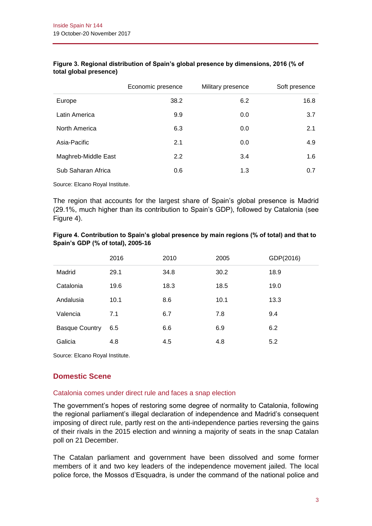|                     | Economic presence | Military presence | Soft presence |
|---------------------|-------------------|-------------------|---------------|
| Europe              | 38.2              | 6.2               | 16.8          |
| Latin America       | 9.9               | 0.0               | 3.7           |
| North America       | 6.3               | 0.0               | 2.1           |
| Asia-Pacific        | 2.1               | 0.0               | 4.9           |
| Maghreb-Middle East | 2.2               | 3.4               | 1.6           |
| Sub Saharan Africa  | 0.6               | 1.3               | 0.7           |
|                     |                   |                   |               |

### **Figure 3. Regional distribution of Spain's global presence by dimensions, 2016 (% of total global presence)**

Source: Elcano Royal Institute.

The region that accounts for the largest share of Spain's global presence is Madrid (29.1%, much higher than its contribution to Spain's GDP), followed by Catalonia (see Figure 4).

### **Figure 4. Contribution to Spain's global presence by main regions (% of total) and that to Spain's GDP (% of total), 2005-16**

|                       | 2016 | 2010 | 2005 | GDP(2016) |
|-----------------------|------|------|------|-----------|
| Madrid                | 29.1 | 34.8 | 30.2 | 18.9      |
| Catalonia             | 19.6 | 18.3 | 18.5 | 19.0      |
| Andalusia             | 10.1 | 8.6  | 10.1 | 13.3      |
| Valencia              | 7.1  | 6.7  | 7.8  | 9.4       |
| <b>Basque Country</b> | 6.5  | 6.6  | 6.9  | 6.2       |
| Galicia               | 4.8  | 4.5  | 4.8  | 5.2       |

Source: Elcano Royal Institute.

# **Domestic Scene**

# Catalonia comes under direct rule and faces a snap election

The government's hopes of restoring some degree of normality to Catalonia, following the regional parliament's illegal declaration of independence and Madrid's consequent imposing of direct rule, partly rest on the anti-independence parties reversing the gains of their rivals in the 2015 election and winning a majority of seats in the snap Catalan poll on 21 December.

The Catalan parliament and government have been dissolved and some former members of it and two key leaders of the independence movement jailed. The local police force, the Mossos d'Esquadra, is under the command of the national police and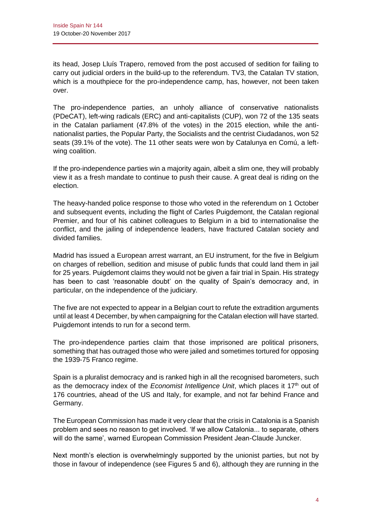its head, Josep Lluís Trapero, removed from the post accused of sedition for failing to carry out judicial orders in the build-up to the referendum. TV3, the Catalan TV station, which is a mouthpiece for the pro-independence camp, has, however, not been taken over.

The pro-independence parties, an unholy alliance of conservative nationalists (PDeCAT), left-wing radicals (ERC) and anti-capitalists (CUP), won 72 of the 135 seats in the Catalan parliament (47.8% of the votes) in the 2015 election, while the antinationalist parties, the Popular Party, the Socialists and the centrist Ciudadanos, won 52 seats (39.1% of the vote). The 11 other seats were won by Catalunya en Comú, a leftwing coalition.

If the pro-independence parties win a majority again, albeit a slim one, they will probably view it as a fresh mandate to continue to push their cause. A great deal is riding on the election.

The heavy-handed police response to those who voted in the referendum on 1 October and subsequent events, including the flight of Carles Puigdemont, the Catalan regional Premier, and four of his cabinet colleagues to Belgium in a bid to internationalise the conflict, and the jailing of independence leaders, have fractured Catalan society and divided families.

Madrid has issued a European arrest warrant, an EU instrument, for the five in Belgium on charges of rebellion, sedition and misuse of public funds that could land them in jail for 25 years. Puigdemont claims they would not be given a fair trial in Spain. His strategy has been to cast 'reasonable doubt' on the quality of Spain's democracy and, in particular, on the independence of the judiciary.

The five are not expected to appear in a Belgian court to refute the extradition arguments until at least 4 December, by when campaigning for the Catalan election will have started. Puigdemont intends to run for a second term.

The pro-independence parties claim that those imprisoned are political prisoners, something that has outraged those who were jailed and sometimes tortured for opposing the 1939-75 Franco regime.

Spain is a pluralist democracy and is ranked high in all the recognised barometers, such as the democracy index of the *Economist Intelligence Unit*, which places it 17<sup>th</sup> out of 176 countries, ahead of the US and Italy, for example, and not far behind France and Germany.

The European Commission has made it very clear that the crisis in Catalonia is a Spanish problem and sees no reason to get involved. 'If we allow Catalonia... to separate, others will do the same', warned European Commission President Jean-Claude Juncker.

Next month's election is overwhelmingly supported by the unionist parties, but not by those in favour of independence (see Figures 5 and 6), although they are running in the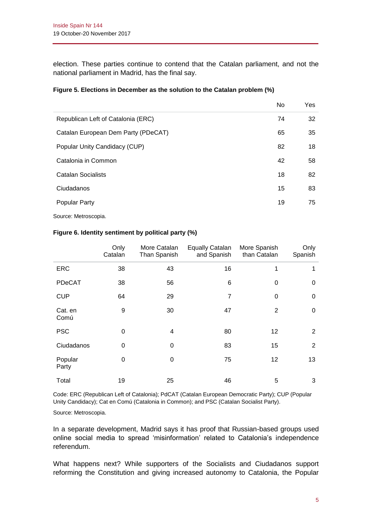election. These parties continue to contend that the Catalan parliament, and not the national parliament in Madrid, has the final say.

|                                     | No | <b>Yes</b> |
|-------------------------------------|----|------------|
| Republican Left of Catalonia (ERC)  | 74 | 32         |
| Catalan European Dem Party (PDeCAT) | 65 | 35         |
| Popular Unity Candidacy (CUP)       | 82 | 18         |
| Catalonia in Common                 | 42 | 58         |
| Catalan Socialists                  | 18 | 82         |
| Ciudadanos                          | 15 | 83         |
| <b>Popular Party</b>                | 19 | 75         |
|                                     |    |            |

### **Figure 5. Elections in December as the solution to the Catalan problem (%)**

Source: Metroscopia.

|                  | Only<br>Catalan | More Catalan<br>Than Spanish | <b>Equally Catalan</b><br>and Spanish | More Spanish<br>than Catalan | Only<br>Spanish |
|------------------|-----------------|------------------------------|---------------------------------------|------------------------------|-----------------|
| <b>ERC</b>       | 38              | 43                           | 16                                    | 1                            |                 |
| PDeCAT           | 38              | 56                           | 6                                     | $\Omega$                     | 0               |
| <b>CUP</b>       | 64              | 29                           | $\overline{7}$                        | $\Omega$                     | 0               |
| Cat. en<br>Comú  | 9               | 30                           | 47                                    | 2                            | 0               |
| <b>PSC</b>       | 0               | 4                            | 80                                    | 12                           | 2               |
| Ciudadanos       | 0               | 0                            | 83                                    | 15                           | 2               |
| Popular<br>Party | 0               | 0                            | 75                                    | 12                           | 13              |
| Total            | 19              | 25                           | 46                                    | 5                            | 3               |

#### **Figure 6. Identity sentiment by political party (%)**

Code: ERC (Republican Left of Catalonia); PdCAT (Catalan European Democratic Party); CUP (Popular Unity Candidacy); Cat en Comú (Catalonia in Common); and PSC (Catalan Socialist Party).

Source: Metroscopia.

In a separate development, Madrid says it has proof that Russian-based groups used online social media to spread 'misinformation' related to Catalonia's independence referendum.

What happens next? While supporters of the Socialists and Ciudadanos support reforming the Constitution and giving increased autonomy to Catalonia, the Popular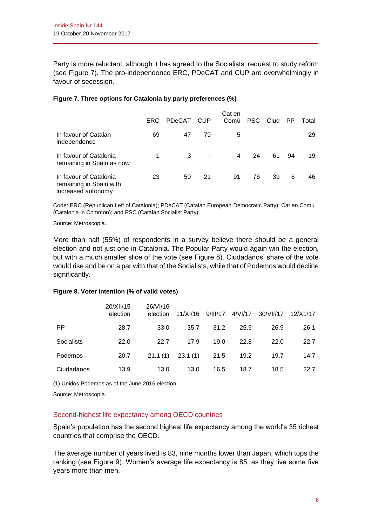Party is more reluctant, although it has agreed to the Socialists' request to study reform (see Figure 7). The pro-independence ERC, PDeCAT and CUP are overwhelmingly in favour of secession.

|                                                                         | <b>ERC</b> | PDeCAT | <b>CUP</b> | Cat en<br>Comú | <b>PSC</b> | Ciud | - PP | Total |
|-------------------------------------------------------------------------|------------|--------|------------|----------------|------------|------|------|-------|
| In favour of Catalan<br>independence                                    | 69         | 47     | 79         | 5              |            |      |      | 29    |
| In favour of Catalonia<br>remaining in Spain as now                     |            | 3      | ٠          | 4              | 24         | 61   | 94   | 19    |
| In favour of Catalonia<br>remaining in Spain with<br>increased autonomy | 23         | 50     | 21         | 91             | 76         | 39   | 6    | 46    |

### **Figure 7. Three options for Catalonia by party preferences (%)**

Code: ERC (Republican Left of Catalonia); PDeCAT (Catalan European Democratic Party); Cat en Comú (Catalonia in Common); and PSC (Catalan Socialist Party).

Source: Metroscopia.

More than half (55%) of respondents in a survey believe there should be a general election and not just one in Catalonia. The Popular Party would again win the election, but with a much smaller slice of the vote (see Figure 8). Ciudadanos' share of the vote would rise and be on a par with that of the Socialists, while that of Podemos would decline significantly.

|            | 20/XII/15<br>election | 26/VI/16<br>election | 11/XI/16 | 9/11/17 | 4/VI/17 | 30/VII/17 | 12/X1/17 |
|------------|-----------------------|----------------------|----------|---------|---------|-----------|----------|
| <b>PP</b>  | 28.7                  | 33.0                 | 35.7     | 31.2    | 25.9    | 26.9      | 26.1     |
| Socialists | 22.0                  | 22.7                 | 17.9     | 19.0    | 22.8    | 22.0      | 22.7     |
| Podemos    | 20.7                  | 21.1(1)              | 23.1(1)  | 21.5    | 19.2    | 19.7      | 14.7     |
| Ciudadanos | 13.9                  | 13.0                 | 13.0     | 16.5    | 18.7    | 18.5      | 22.7     |

#### **Figure 8. Voter intention (% of valid votes)**

(1) Unidos Podemos as of the June 2016 election.

Source: Metroscopia.

### Second-highest life expectancy among OECD countries

Spain's population has the second highest life expectancy among the world's 35 richest countries that comprise the OECD.

The average number of years lived is 83, nine months lower than Japan, which tops the ranking (see Figure 9). Women's average life expectancy is 85, as they live some five years more than men.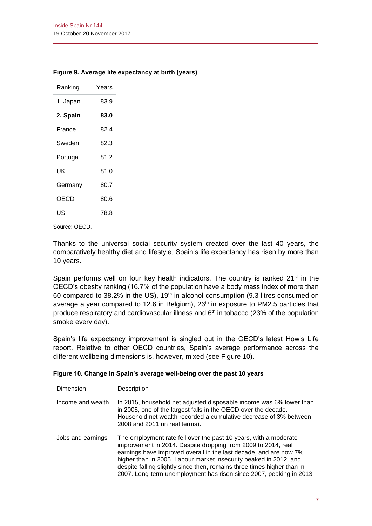# **Figure 9. Average life expectancy at birth (years)**

| Ranking  | Years |
|----------|-------|
| 1. Japan | 83.9  |
| 2. Spain | 83.0  |
| France   | 82.4  |
| Sweden   | 82.3  |
| Portugal | 81.2  |
| ιıκ      | 81 O  |
| Germany  | 80.7  |
| OECD     | 80.6  |
| US       | 78.8  |

Source: OECD.

Thanks to the universal social security system created over the last 40 years, the comparatively healthy diet and lifestyle, Spain's life expectancy has risen by more than 10 years.

Spain performs well on four key health indicators. The country is ranked 21<sup>st</sup> in the OECD's obesity ranking (16.7% of the population have a body mass index of more than 60 compared to 38.2% in the US),  $19<sup>th</sup>$  in alcohol consumption (9.3 litres consumed on average a year compared to 12.6 in Belgium), 26<sup>th</sup> in exposure to PM2.5 particles that produce respiratory and cardiovascular illness and  $6<sup>th</sup>$  in tobacco (23% of the population smoke every day).

Spain's life expectancy improvement is singled out in the OECD's latest How's Life report. Relative to other OECD countries, Spain's average performance across the different wellbeing dimensions is, however, mixed (see Figure 10).

|  | Figure 10. Change in Spain's average well-being over the past 10 years |  |
|--|------------------------------------------------------------------------|--|
|  |                                                                        |  |

| <b>Dimension</b>  | Description                                                                                                                                                                                                                                                                                                                                                                                                                  |
|-------------------|------------------------------------------------------------------------------------------------------------------------------------------------------------------------------------------------------------------------------------------------------------------------------------------------------------------------------------------------------------------------------------------------------------------------------|
| Income and wealth | In 2015, household net adjusted disposable income was 6% lower than<br>in 2005, one of the largest falls in the OECD over the decade.<br>Household net wealth recorded a cumulative decrease of 3% between<br>2008 and 2011 (in real terms).                                                                                                                                                                                 |
| Jobs and earnings | The employment rate fell over the past 10 years, with a moderate<br>improvement in 2014. Despite dropping from 2009 to 2014, real<br>earnings have improved overall in the last decade, and are now 7%<br>higher than in 2005. Labour market insecurity peaked in 2012, and<br>despite falling slightly since then, remains three times higher than in<br>2007. Long-term unemployment has risen since 2007, peaking in 2013 |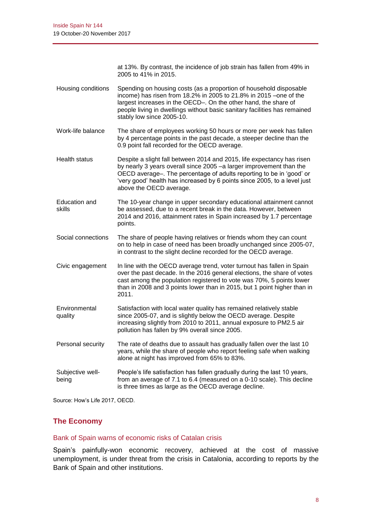at 13%. By contrast, the incidence of job strain has fallen from 49% in 2005 to 41% in 2015.

- Housing conditions Spending on housing costs (as a proportion of household disposable income) has risen from 18.2% in 2005 to 21.8% in 2015 –one of the largest increases in the OECD–. On the other hand, the share of people living in dwellings without basic sanitary facilities has remained stably low since 2005-10.
- Work-life balance The share of employees working 50 hours or more per week has fallen by 4 percentage points in the past decade, a steeper decline than the 0.9 point fall recorded for the OECD average.
- Health status Despite a slight fall between 2014 and 2015, life expectancy has risen by nearly 3 years overall since 2005 –a larger improvement than the OECD average–. The percentage of adults reporting to be in 'good' or 'very good' health has increased by 6 points since 2005, to a level just above the OECD average.
- Education and skills The 10-year change in upper secondary educational attainment cannot be assessed, due to a recent break in the data. However, between 2014 and 2016, attainment rates in Spain increased by 1.7 percentage points.
- Social connections The share of people having relatives or friends whom they can count on to help in case of need has been broadly unchanged since 2005-07, in contrast to the slight decline recorded for the OECD average.
- Civic engagement In line with the OECD average trend, voter turnout has fallen in Spain over the past decade. In the 2016 general elections, the share of votes cast among the population registered to vote was 70%, 5 points lower than in 2008 and 3 points lower than in 2015, but 1 point higher than in 2011.
- Environmental quality Satisfaction with local water quality has remained relatively stable since 2005-07, and is slightly below the OECD average. Despite increasing slightly from 2010 to 2011, annual exposure to PM2.5 air pollution has fallen by 9% overall since 2005.
- Personal security The rate of deaths due to assault has gradually fallen over the last 10 years, while the share of people who report feeling safe when walking alone at night has improved from 65% to 83%.
- Subjective wellbeing People's life satisfaction has fallen gradually during the last 10 years, from an average of 7.1 to 6.4 (measured on a 0-10 scale). This decline is three times as large as the OECD average decline.

Source: How's Life 2017, OECD.

# **The Economy**

#### Bank of Spain warns of economic risks of Catalan crisis

Spain's painfully-won economic recovery, achieved at the cost of massive unemployment, is under threat from the crisis in Catalonia, according to reports by the Bank of Spain and other institutions.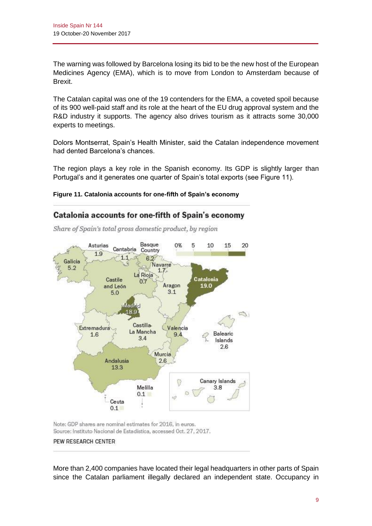The warning was followed by Barcelona losing its bid to be the new host of the European Medicines Agency (EMA), which is to move from London to Amsterdam because of Brexit.

The Catalan capital was one of the 19 contenders for the EMA, a coveted spoil because of its 900 well-paid staff and its role at the heart of the EU drug approval system and the R&D industry it supports. The agency also drives tourism as it attracts some 30,000 experts to meetings.

Dolors Montserrat, Spain's Health Minister, said the Catalan independence movement had dented Barcelona's chances.

The region plays a key role in the Spanish economy. Its GDP is slightly larger than Portugal's and it generates one quarter of Spain's total exports (see Figure 11).

# **Figure 11. Catalonia accounts for one-fifth of Spain's economy**

# Catalonia accounts for one-fifth of Spain's economy

Share of Spain's total gross domestic product, by region



Note: GDP shares are nominal estimates for 2016, in euros. Source: Instituto Nacional de Estadística, accessed Oct. 27, 2017. PEW RESEARCH CENTER

More than 2,400 companies have located their legal headquarters in other parts of Spain since the Catalan parliament illegally declared an independent state. Occupancy in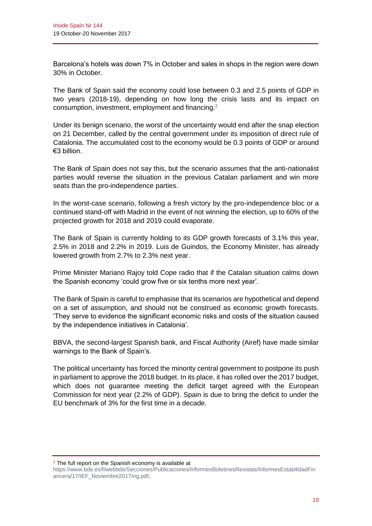Barcelona's hotels was down 7% in October and sales in shops in the region were down 30% in October.

The Bank of Spain said the economy could lose between 0.3 and 2.5 points of GDP in two years (2018-19), depending on how long the crisis lasts and its impact on consumption, investment, employment and financing.<sup>2</sup>

Under its benign scenario, the worst of the uncertainty would end after the snap election on 21 December, called by the central government under its imposition of direct rule of Catalonia. The accumulated cost to the economy would be 0.3 points of GDP or around €3 billion.

The Bank of Spain does not say this, but the scenario assumes that the anti-nationalist parties would reverse the situation in the previous Catalan parliament and win more seats than the pro-independence parties.

In the worst-case scenario, following a fresh victory by the pro-independence bloc or a continued stand-off with Madrid in the event of not winning the election, up to 60% of the projected growth for 2018 and 2019 could evaporate.

The Bank of Spain is currently holding to its GDP growth forecasts of 3.1% this year, 2.5% in 2018 and 2.2% in 2019. Luis de Guindos, the Economy Minister, has already lowered growth from 2.7% to 2.3% next year.

Prime Minister Mariano Rajoy told Cope radio that if the Catalan situation calms down the Spanish economy 'could grow five or six tenths more next year'.

The Bank of Spain is careful to emphasise that its scenarios are hypothetical and depend on a set of assumption, and should not be construed as economic growth forecasts. 'They serve to evidence the significant economic risks and costs of the situation caused by the independence initiatives in Catalonia'.

BBVA, the second-largest Spanish bank, and Fiscal Authority (Airef) have made similar warnings to the Bank of Spain's.

The political uncertainty has forced the minority central government to postpone its push in parliament to approve the 2018 budget. In its place, it has rolled over the 2017 budget, which does not guarantee meeting the deficit target agreed with the European Commission for next year (2.2% of GDP). Spain is due to bring the deficit to under the EU benchmark of 3% for the first time in a decade.

 $2$  The full report on the Spanish economy is available at

[https://www.bde.es/f/webbde/Secciones/Publicaciones/InformesBoletinesRevistas/InformesEstabilidadFin](https://www.bde.es/f/webbde/Secciones/Publicaciones/InformesBoletinesRevistas/InformesEstabilidadFinancera/17/IEF_Noviembre2017Ing.pdf) [ancera/17/IEF\\_Noviembre2017Ing.pdf.](https://www.bde.es/f/webbde/Secciones/Publicaciones/InformesBoletinesRevistas/InformesEstabilidadFinancera/17/IEF_Noviembre2017Ing.pdf)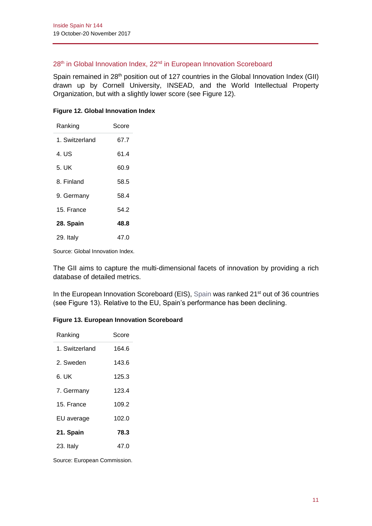# 28<sup>th</sup> in Global Innovation Index, 22<sup>nd</sup> in European Innovation Scoreboard

Spain remained in 28<sup>th</sup> position out of 127 countries in the Global Innovation Index (GII) drawn up by Cornell University, INSEAD, and the World Intellectual Property Organization, but with a slightly lower score (see Figure 12).

| Ranking        | Score |
|----------------|-------|
| 1. Switzerland | 67.7  |
| 4. US          | 61.4  |
| 5. UK          | 60.9  |
| 8 Finland      | 58.5  |
| 9. Germany     | 58.4  |
| 15. France     | 54 2  |
| 28. Spain      | 48.8  |
| 29. Italy      | 47.0  |

### **Figure 12. Global Innovation Index**

Source: Global Innovation Index.

The GII aims to capture the multi-dimensional facets of innovation by providing a rich database of detailed metrics.

In the European Innovation Scoreboard (EIS), [Spain](file:///C:/Users/bill/Downloads/Spain%20(4).pdf) was ranked 21<sup>st</sup> out of 36 countries (see Figure 13). Relative to the EU, Spain's performance has been declining.

# **Figure 13. European Innovation Scoreboard**

| Ranking       | Score |
|---------------|-------|
| 1 Switzerland | 164.6 |
| 2. Sweden     | 143.6 |
| 6. UK         | 125.3 |
| 7. Germany    | 123.4 |
| 15. France    | 109.2 |
| EU average    | 102.0 |
| 21. Spain     | 78.3  |
| 23. Italy     | 47.0  |

Source: European Commission.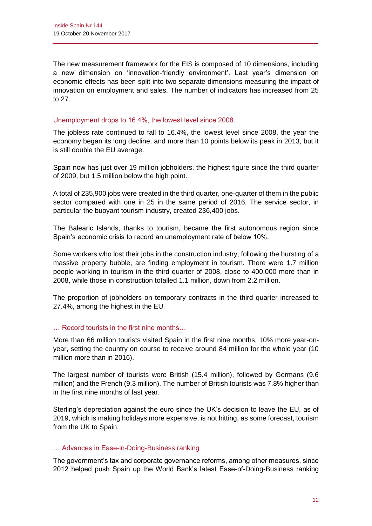The new measurement framework for the EIS is composed of 10 dimensions, including a new dimension on 'innovation-friendly environment'. Last year's dimension on economic effects has been split into two separate dimensions measuring the impact of innovation on employment and sales. The number of indicators has increased from 25 to 27.

### Unemployment drops to 16.4%, the lowest level since 2008…

The jobless rate continued to fall to 16.4%, the lowest level since 2008, the year the economy began its long decline, and more than 10 points below its peak in 2013, but it is still double the EU average.

Spain now has just over 19 million jobholders, the highest figure since the third quarter of 2009, but 1.5 million below the high point.

A total of 235,900 jobs were created in the third quarter, one-quarter of them in the public sector compared with one in 25 in the same period of 2016. The service sector, in particular the buoyant tourism industry, created 236,400 jobs.

The Balearic Islands, thanks to tourism, became the first autonomous region since Spain's economic crisis to record an unemployment rate of below 10%.

Some workers who lost their jobs in the construction industry, following the bursting of a massive property bubble, are finding employment in tourism. There were 1.7 million people working in tourism in the third quarter of 2008, close to 400,000 more than in 2008, while those in construction totalled 1.1 million, down from 2.2 million.

The proportion of jobholders on temporary contracts in the third quarter increased to 27.4%, among the highest in the EU.

# … Record tourists in the first nine months…

More than 66 million tourists visited Spain in the first nine months, 10% more year-onyear, setting the country on course to receive around 84 million for the whole year (10 million more than in 2016).

The largest number of tourists were British (15.4 million), followed by Germans (9.6 million) and the French (9.3 million). The number of British tourists was 7.8% higher than in the first nine months of last year.

Sterling's depreciation against the euro since the UK's decision to leave the EU, as of 2019, which is making holidays more expensive, is not hitting, as some forecast, tourism from the UK to Spain.

#### … Advances in Ease-in-Doing-Business ranking

The government's tax and corporate governance reforms, among other measures, since 2012 helped push Spain up the World Bank's latest Ease-of-Doing-Business ranking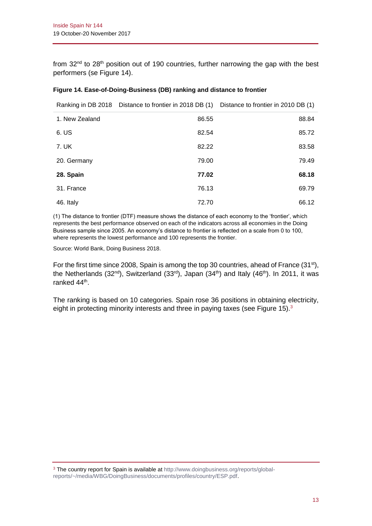from 32<sup>nd</sup> to 28<sup>th</sup> position out of 190 countries, further narrowing the gap with the best performers (se Figure 14).

### **Figure 14. Ease-of-Doing-Business (DB) ranking and distance to frontier**

Ranking in DB 2018 Distance to frontier in 2018 DB (1) Distance to frontier in 2010 DB (1)

| 1. New Zealand | 86.55 | 88.84 |
|----------------|-------|-------|
| 6. US          | 82.54 | 85.72 |
| 7. UK          | 82.22 | 83.58 |
| 20. Germany    | 79.00 | 79.49 |
| 28. Spain      | 77.02 | 68.18 |
| 31. France     | 76.13 | 69.79 |
| 46. Italy      | 72.70 | 66.12 |

(1) The distance to frontier (DTF) measure shows the distance of each economy to the 'frontier', which represents the best performance observed on each of the indicators across all economies in the Doing Business sample since 2005. An economy's distance to frontier is reflected on a scale from 0 to 100, where represents the lowest performance and 100 represents the frontier.

Source: World Bank, Doing Business 2018.

For the first time since 2008, Spain is among the top 30 countries, ahead of France (31<sup>st</sup>), the Netherlands (32<sup>nd</sup>), Switzerland (33<sup>rd</sup>), Japan (34<sup>th</sup>) and Italy (46<sup>th</sup>). In 2011, it was ranked 44<sup>th</sup>.

The ranking is based on 10 categories. Spain rose 36 positions in obtaining electricity, eight in protecting minority interests and three in paying taxes (see Figure 15).<sup>3</sup>

<sup>3</sup> The country report for Spain is available at [http://www.doingbusiness.org/reports/global](http://www.doingbusiness.org/reports/global-reports/~/media/WBG/DoingBusiness/documents/profiles/country/ESP.pdf)[reports/~/media/WBG/DoingBusiness/documents/profiles/country/ESP.pdf.](http://www.doingbusiness.org/reports/global-reports/~/media/WBG/DoingBusiness/documents/profiles/country/ESP.pdf)